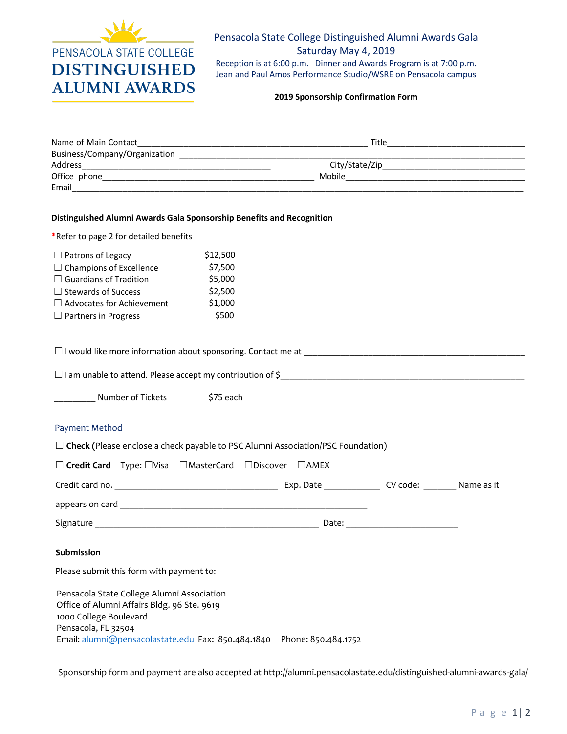

**DISTINGUISHED ALUMNI AWARDS** 

# Pensacola State College Distinguished Alumni Awards Gala Saturday May 4, 2019

Reception is at 6:00 p.m. Dinner and Awards Program is at 7:00 p.m. Jean and Paul Amos Performance Studio/WSRE on Pensacola campus

# **2019 Sponsorship Confirmation Form**

| Name of Main Contact<br>Business/Company/Organization | Title          |  |
|-------------------------------------------------------|----------------|--|
| Address                                               | City/State/Zip |  |
| Office phone                                          | Mobile         |  |
| Email                                                 |                |  |

## **Distinguished Alumni Awards Gala Sponsorship Benefits and Recognition**

| *Refer to page 2 for detailed benefits |          |  |
|----------------------------------------|----------|--|
| $\Box$ Patrons of Legacy               | \$12,500 |  |
| $\Box$ Champions of Excellence         | \$7,500  |  |
| $\Box$ Guardians of Tradition          | \$5,000  |  |
| $\Box$ Stewards of Success             | \$2,500  |  |
| $\Box$ Advocates for Achievement       | \$1,000  |  |
| $\Box$ Partners in Progress            | \$500    |  |
|                                        |          |  |

 $\Box$  I would like more information about sponsoring. Contact me at  $\Box$ 

☐I am unable to attend. Please accept my contribution of \$\_\_\_\_\_\_\_\_\_\_\_\_\_\_\_\_\_\_\_\_\_\_\_\_\_\_\_\_\_\_\_\_\_\_\_\_\_\_\_\_\_\_\_\_\_\_\_\_\_\_\_\_\_

| Number of Tickets | \$75 each |
|-------------------|-----------|
|-------------------|-----------|

### Payment Method

| $\Box$ Check (Please enclose a check payable to PSC Alumni Association/PSC Foundation) |  |                                                                                    |  |           |  |  |  |            |
|----------------------------------------------------------------------------------------|--|------------------------------------------------------------------------------------|--|-----------|--|--|--|------------|
|                                                                                        |  | $\Box$ Credit Card Type: $\Box$ Visa $\Box$ MasterCard $\Box$ Discover $\Box$ AMEX |  |           |  |  |  |            |
| Credit card no.                                                                        |  |                                                                                    |  | Exp. Date |  |  |  | Name as it |
| appears on card                                                                        |  |                                                                                    |  |           |  |  |  |            |
| Signature                                                                              |  |                                                                                    |  | Date:     |  |  |  |            |

### **Submission**

Please submit this form with payment to:

Pensacola State College Alumni Association Office [of Alumni Affairs](mailto:alumni@pensacolastate.edu) Bldg. 96 Ste. 9619 1000 College Boulevard Pensacola, FL 32504 Email: alumni@pensacolastate.edu Fax: 850.484.1[840 Phone: 850.484.1752](http://alumni.pensacolastate.edu/distinguished-alumni-awards-gala/) 

Sponsorship form and payment are also accepted at http://alumni.pensacolastate.edu/distinguished-alumni-awards-gala/